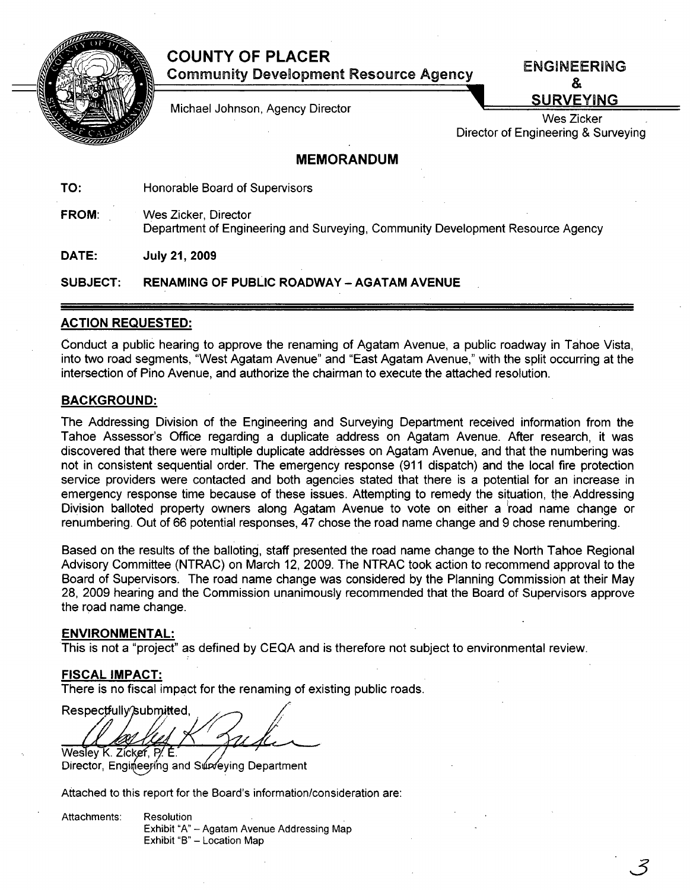## **COUNTY OF PLACER Community Development Resource Agency**



Michael Johnson, Agency Director

**ENGINEERING** & **SURVEYING** 

.<br>ب

Wes Zicker Director of Engineering & Surveying

### **MEMORANDUM**

TO: Honorable Board of Supervisors

FROM: Wes Zicker, Director Department of Engineering and Surveying, Community Development Resource Agency

DATE: July 21,2009

SUBJECT: RENAMING OF PUBLIC ROADWAY - AGATAM AVENUE

#### ACTION REQUESTED:

Conduct a public hearing to approve the renaming of Agatam Avenue, a public roadway in Tahoe Vista, into two road segments, "West Agatam Avenue" and "East Agatam Avenue," with the split occurring at the intersection of Pino Avenue, and authorize the chairman to execute the attached resolution.

#### BACKGROUND:

The Addressing Division of the Engineering and Surveying Department received information from the Tahoe Assessor's Office regarding a duplicate address on Agatam Avenue. After research, it was discovered that there were multiple duplicate addresses on Agatam Avenue, and that the numbering was not in consistent sequential order. The emergency response (911 dispatch) and the local fire protection service providers were contacted and both agencies stated that there is a potential for an increase in emergency response time because of these issues. Attempting to remedy the situation, the Addressing Division balloted property owners along Agatam Avenue to vote on either a road name change or renumbering. Out of 66 potential responses, 47 chose the road name change and 9 chose renumbering.

Based on the results of the balloting, staff presented the road name change to the North Tahoe Regional Advisory Committee (NTRAC) on March 12, 2009. The NTRAC took action to recommend approval to the Board of Supervisors. The road name change was considered by the Planning Commission at their May 28, 2009 hearing and the Commission unanimously recommended that the Board of Supervisors approve the road name change.

#### ENVIRONMENTAL:

This is not a "project" as defined by CEQA and is therefore not subject to environmental review.

#### FISCAL IMPACT:

There is no fiscal impact for the renaming of existing public roads.

Respectfully/submitted, Wesley K. Zicker, P. E.

Director, Engineering and Surveying Department

Attached to this report for the Board's information/consideration are:

Attachments: Resolution Exhibit "A" - Agatam Avenue Addressing Map Exhibit "B" - Location Map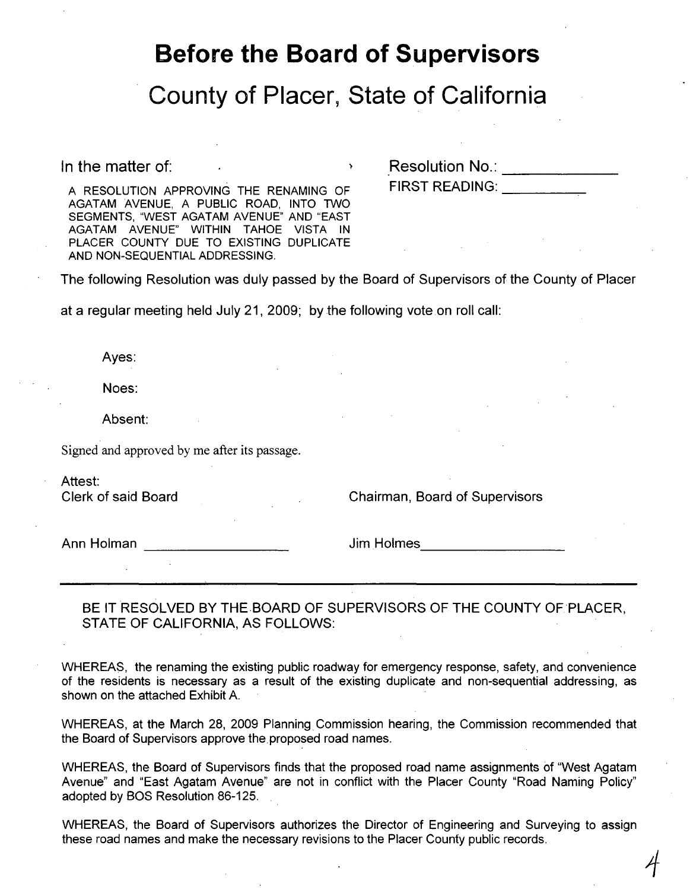## **Before the Board of Supervisors**

## **County of Placer, State of California**

In the matter of:

n the matter of:<br>A RESOLUTION APPROVING THE RENAMING OF FIRST READING:

AGATAM AVENUE, A PUBLIC ROAD, INTO TWO SEGMENTS, "WEST AGATAM AVENUE" AND "EAST AGATAM AVENUE" WITHIN TAHOE VISTA IN PLACER COUNTY DUE TO EXISTING DUPLICATE AND NON-SEQUENTIAL ADDRESSING.

The following Resolution was duly passed by the Board of Supervisors of the County of Placer

at a regular meeting held July 21, 2009; by the following vote on roll call:

Ayes:

Noes:

Absent:

Signed and approved by me after its passage.

Attest:

Clerk of said Board Chairman, Board of Supervisors

 $\overline{4}$ 

Ann Holman **Ann Holmes Jim Holmes Jim Holmes** 

BE IT RESOLVED BY THE BOARD OF SUPERVISORS OF THE COUNTY OF PLACER. STATE OF CALIFORNIA, AS FOLLOWS:

WHEREAS, the renaming the existing public roadway for emergency response, safety, and convenience of the residents is necessary as a result of the existing duplicate and non-sequential addressing, as shown on the attached Exhibit A.

WHEREAS, at the March 28, 2009 Planning Commission hearing, the Commission recommended that the Board of Supervisors approve the proposed road names.

WHEREAS, the Board of Supervisors finds that the proposed road name assignments of "West Agatam Avenue" and "East Agatam Avenue" are not in conflict with the Placer County "Road Naming Policy" adopted by BOS Resolution 86-125.

WHEREAS, the Board of Supervisors authorizes the Director of Engineering and Surveying to assign these road names and make the necessary revisions to the Placer County public records.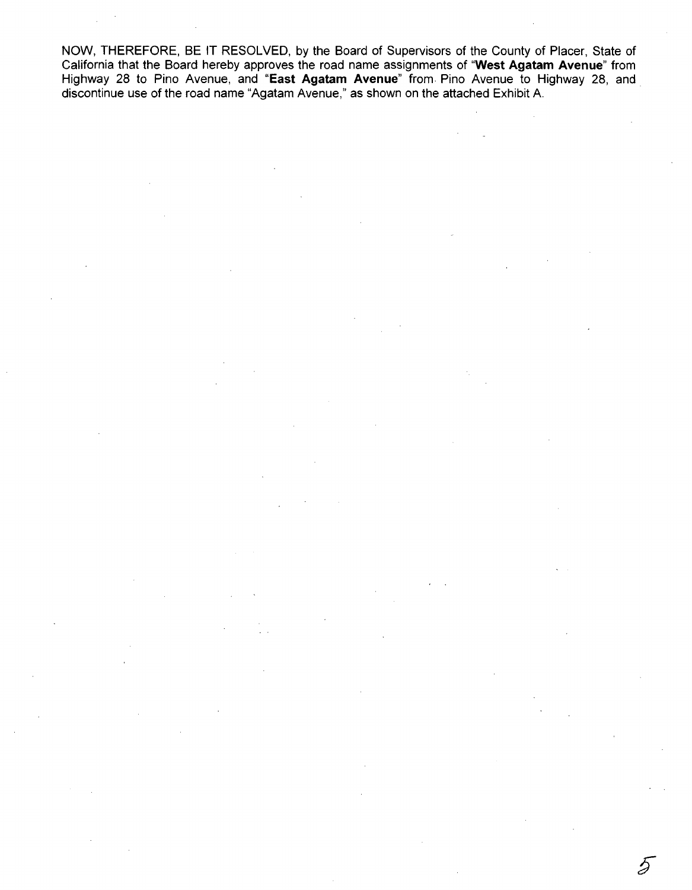NOW, THEREFORE, BE IT RESOLVED, by the Board of Supervisors of the County of Placer, State of California that the Board hereby approves the road name assignments of "West **Agatam** Avenue" from Highway 28 to Pino Avenue, and "East **Agatam** Avenue" from Pino Avenue to Highway 28, and discontinue use of the road name "Agatam Avenue," as shown on the attached Exhibit A.

D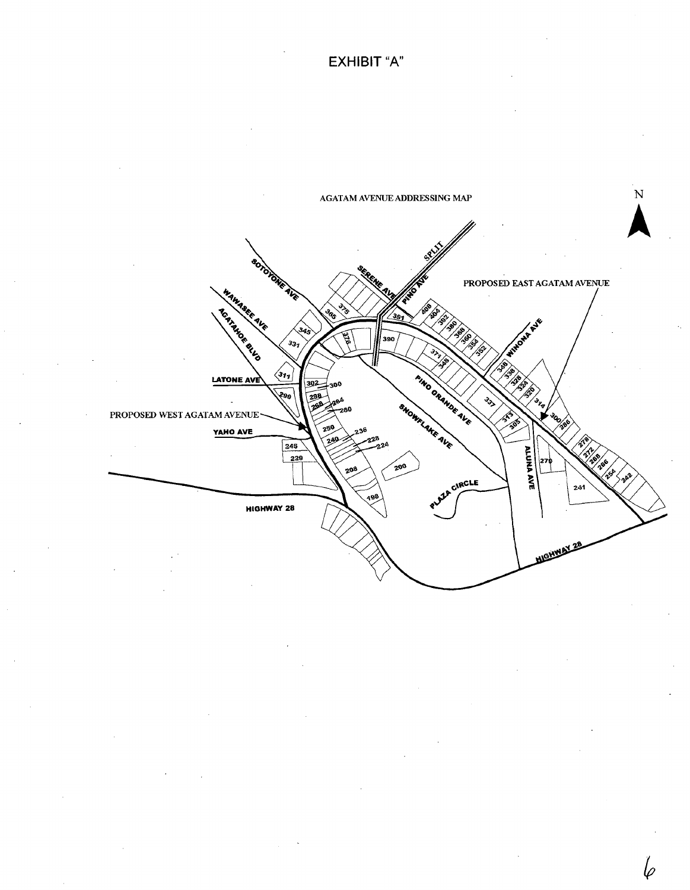**EXHIBIT** "A"